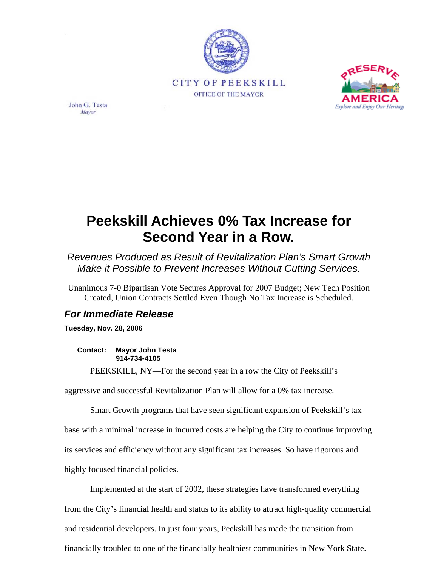



John G. Testa Mayor

## **Peekskill Achieves 0% Tax Increase for Second Year in a Row.**

*Revenues Produced as Result of Revitalization Plan's Smart Growth Make it Possible to Prevent Increases Without Cutting Services.* 

Unanimous 7-0 Bipartisan Vote Secures Approval for 2007 Budget; New Tech Position Created, Union Contracts Settled Even Though No Tax Increase is Scheduled.

## *For Immediate Release*

**Tuesday, Nov. 28, 2006** 

**Contact: Mayor John Testa 914-734-4105** 

PEEKSKILL, NY—For the second year in a row the City of Peekskill's

aggressive and successful Revitalization Plan will allow for a 0% tax increase.

Smart Growth programs that have seen significant expansion of Peekskill's tax

base with a minimal increase in incurred costs are helping the City to continue improving

its services and efficiency without any significant tax increases. So have rigorous and

highly focused financial policies.

Implemented at the start of 2002, these strategies have transformed everything from the City's financial health and status to its ability to attract high-quality commercial and residential developers. In just four years, Peekskill has made the transition from financially troubled to one of the financially healthiest communities in New York State.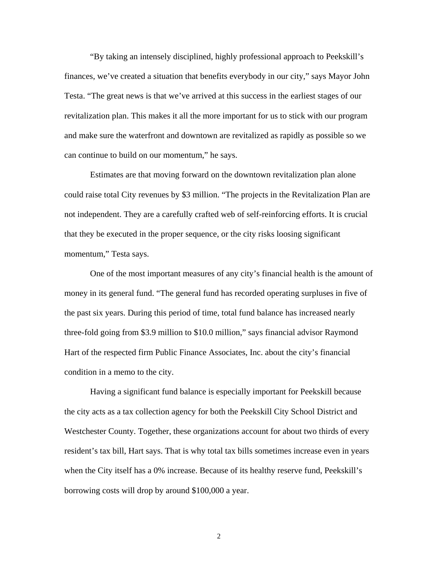"By taking an intensely disciplined, highly professional approach to Peekskill's finances, we've created a situation that benefits everybody in our city," says Mayor John Testa. "The great news is that we've arrived at this success in the earliest stages of our revitalization plan. This makes it all the more important for us to stick with our program and make sure the waterfront and downtown are revitalized as rapidly as possible so we can continue to build on our momentum," he says.

Estimates are that moving forward on the downtown revitalization plan alone could raise total City revenues by \$3 million. "The projects in the Revitalization Plan are not independent. They are a carefully crafted web of self-reinforcing efforts. It is crucial that they be executed in the proper sequence, or the city risks loosing significant momentum," Testa says.

One of the most important measures of any city's financial health is the amount of money in its general fund. "The general fund has recorded operating surpluses in five of the past six years. During this period of time, total fund balance has increased nearly three-fold going from \$3.9 million to \$10.0 million," says financial advisor Raymond Hart of the respected firm Public Finance Associates, Inc. about the city's financial condition in a memo to the city.

Having a significant fund balance is especially important for Peekskill because the city acts as a tax collection agency for both the Peekskill City School District and Westchester County. Together, these organizations account for about two thirds of every resident's tax bill, Hart says. That is why total tax bills sometimes increase even in years when the City itself has a 0% increase. Because of its healthy reserve fund, Peekskill's borrowing costs will drop by around \$100,000 a year.

2